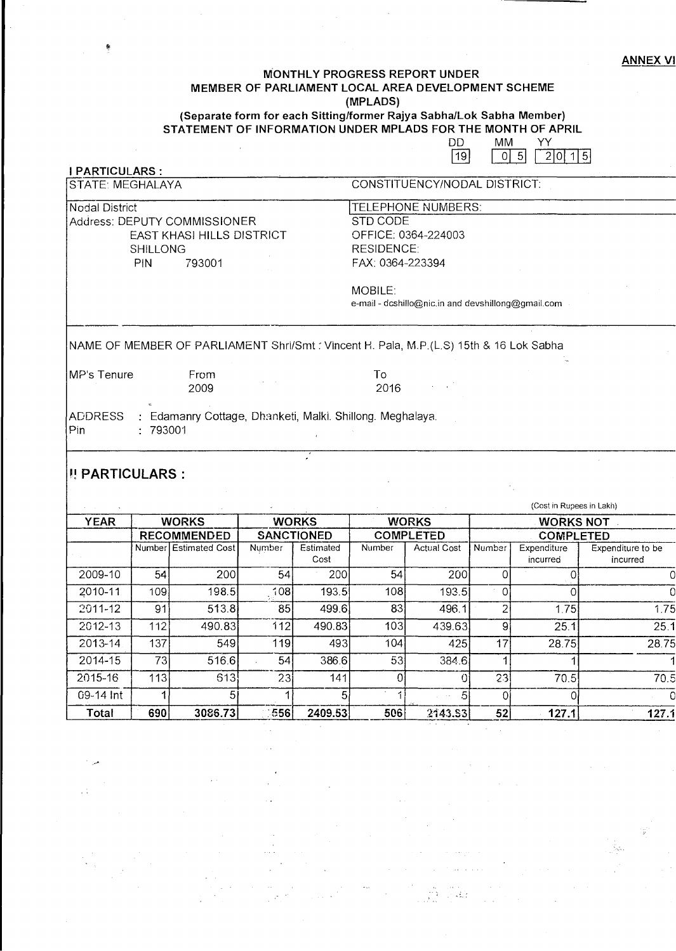## **MONTHLY PROGRESS REPORT UNDER MEMBER OF PARLIAMENT LOCAL AREA DEVELOPMENT SCHEME (MPLADS)**

 **(Separate form for each Sitting/former Rajya Sabha/Lok Sabha Member) STATEMENT OF INFORMATION UNDER MPLADS FOR THE MONTH OF APRIL** 

|                               |                    |                                                                           |                   |                   |                              | DD<br> 19                                          | МM<br>$\overline{0}$     | YY<br>5<br>2 0 1 5      |                               |  |  |
|-------------------------------|--------------------|---------------------------------------------------------------------------|-------------------|-------------------|------------------------------|----------------------------------------------------|--------------------------|-------------------------|-------------------------------|--|--|
| <b>I PARTICULARS:</b>         |                    |                                                                           |                   |                   |                              |                                                    |                          |                         |                               |  |  |
| <b>STATE: MEGHALAYA</b>       |                    |                                                                           |                   |                   | CONSTITUENCY/NODAL DISTRICT: |                                                    |                          |                         |                               |  |  |
| <b>Nodal District</b>         |                    |                                                                           |                   |                   | TELEPHONE NUMBERS:           |                                                    |                          |                         |                               |  |  |
|                               |                    | Address: DEPUTY COMMISSIONER                                              |                   |                   | <b>STD CODE</b>              |                                                    |                          |                         |                               |  |  |
|                               |                    | EAST KHASI HILLS DISTRICT                                                 |                   |                   | OFFICE: 0364-224003          |                                                    |                          |                         |                               |  |  |
|                               | <b>SHILLONG</b>    |                                                                           |                   |                   | <b>RESIDENCE:</b>            |                                                    |                          |                         |                               |  |  |
|                               | PIN                | 793001                                                                    |                   |                   | FAX: 0364-223394             |                                                    |                          |                         |                               |  |  |
| MOBILE:                       |                    |                                                                           |                   |                   |                              |                                                    |                          |                         |                               |  |  |
|                               |                    |                                                                           |                   |                   |                              | e-mail - dcshillo@nic.in and devshillong@gmail.com |                          |                         |                               |  |  |
| MP's Tenure<br>ADDRESS<br>Pin | : 793001           | From<br>2009<br>: Edamanry Cottage, Dhanketi, Malki. Shillong. Meghalaya. |                   |                   | To<br>2016                   |                                                    |                          |                         |                               |  |  |
| <b>I! PARTICULARS:</b>        |                    |                                                                           |                   |                   |                              |                                                    |                          |                         |                               |  |  |
|                               |                    |                                                                           |                   |                   |                              |                                                    | (Cost in Rupees in Lakh) |                         |                               |  |  |
| <b>YEAR</b>                   | <b>WORKS</b>       |                                                                           | <b>WORKS</b>      |                   | <b>WORKS</b>                 |                                                    | <b>WORKS NOT</b>         |                         |                               |  |  |
|                               | <b>RECOMMENDED</b> |                                                                           | <b>SANCTIONED</b> |                   | <b>COMPLETED</b>             |                                                    | <b>COMPLETED</b>         |                         |                               |  |  |
|                               |                    | Number Estimated Cost                                                     | Number            | Estimated<br>Cost | Number                       | Actual Cost                                        | Number                   | Expenditure<br>incurred | Expenditure to be<br>incurred |  |  |
| 2009-10                       | 54                 | 200                                                                       | 54                | 200               | 54                           | 200                                                | 0                        | 0                       |                               |  |  |
| 2010-11                       | 109                | 198.5                                                                     | 708               | 193.5             | 108                          | 193.5                                              | ∩                        | O                       |                               |  |  |
|                               |                    |                                                                           |                   |                   |                              |                                                    |                          |                         |                               |  |  |

2011-12 | 91| 513.8| 85| 499.6| 83| 496.1| 2| 1.75| 1.75 2012-13 112 490.83 "112 490.83 103 439.63 9 25.1 25.1 2013-14 | 137| 549| 119| 493| 104| 425| 17| 28.75| 28.75

2014-15 73 516.6 54 386.6 53 384.6 1 1 1<br>2015-16 113 613 23 141 0 0 23 70.5 70.5<br>09-14 Int 1 5 1 5 1 5 0 0

**Total 690 3086.73** '556 **2409.53 506** 2143.33 - **52 127.1 127.1** 

AU.

 $\frac{5}{2409.53}$ 

 $\frac{5}{143.53}$   $\frac{0}{52}$   $\frac{0}{127.1}$   $\frac{127.1}{127.1}$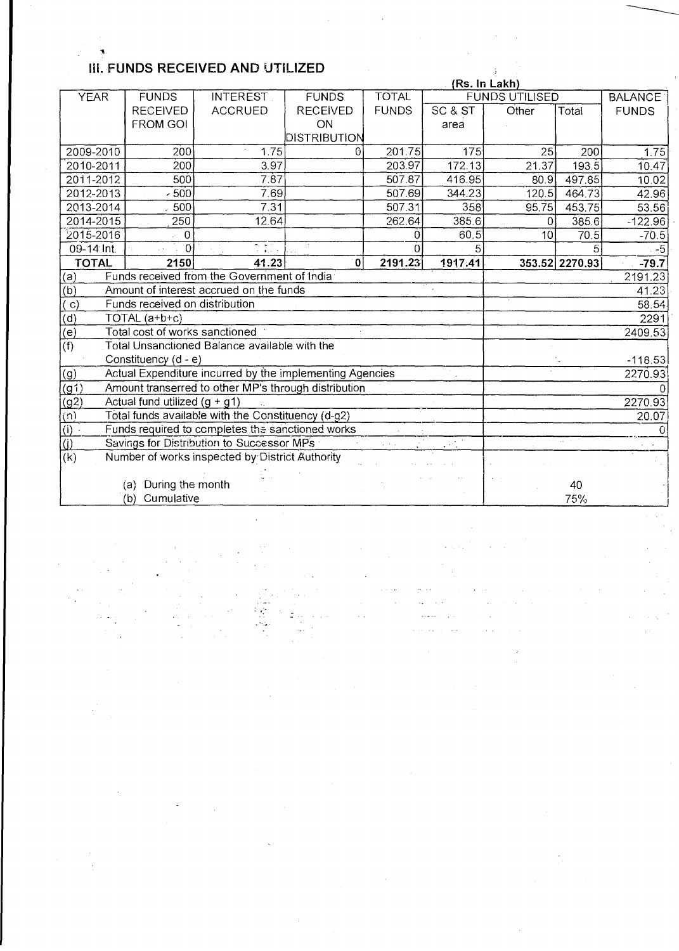## **Iii. FUNDS RECEIVED AND UTILIZED**

|                                                                                                                |                                                                     | (Rs. In Lakh)                                        |                 |                 |           |                       |                |              |  |
|----------------------------------------------------------------------------------------------------------------|---------------------------------------------------------------------|------------------------------------------------------|-----------------|-----------------|-----------|-----------------------|----------------|--------------|--|
| <b>YEAR</b>                                                                                                    | <b>FUNDS</b>                                                        | <b>INTEREST</b>                                      | <b>FUNDS</b>    | <b>TOTAL</b>    |           | <b>FUNDS UTILISED</b> | <b>BALANCE</b> |              |  |
|                                                                                                                | <b>RECEIVED</b>                                                     | <b>ACCRUED</b>                                       | <b>RECEIVED</b> | <b>FUNDS</b>    | SC & ST   | Other                 | Total          | <b>FUNDS</b> |  |
|                                                                                                                | <b>FROM GOI</b>                                                     |                                                      | ON              |                 | area      |                       |                |              |  |
|                                                                                                                |                                                                     |                                                      | DISTRIBUTION    |                 |           |                       |                |              |  |
| 2009-2010                                                                                                      | 200                                                                 | 1.75                                                 | 0               | 201.75          | 175       | 25                    | 200            | 1.75         |  |
| 2010-2011                                                                                                      | 200                                                                 | 3.97                                                 |                 | 203.97          | 172.13    | 21.37                 | 193.5          | 10.47        |  |
| 2011-2012                                                                                                      | 50 <sub>0</sub>                                                     | 7.87                                                 |                 | 507.87          | 416.95    | 80.9                  | 497.85         | 10.02        |  |
| 2012-2013                                                                                                      | $-500$                                                              | 7.69                                                 |                 | 507.69          | 344.23    | 120.5                 | 464.73         | 42.96        |  |
| 2013-2014                                                                                                      | 500                                                                 | 7.31                                                 |                 | 507.31          | 358       | 95.75                 | 453.75         | 53.56        |  |
| 2014-2015                                                                                                      | 250                                                                 | 12.64                                                |                 | 262.64          | 385.6     | 0                     | 385.6          | $-122.96$    |  |
| 2015-2016                                                                                                      | $\overline{0}$                                                      |                                                      |                 | Ω               | 60.5      | 10                    | 70.5           | $-70.5$      |  |
| 09-14 Int.                                                                                                     | $\overline{0}$                                                      | الحاربة الم                                          |                 |                 |           |                       |                | $-5$         |  |
| <b>TOTAL</b>                                                                                                   | 2150                                                                | 41.23                                                | $\pmb{0}$       | 2191.23         | 1917.41   |                       | 353.52 2270.93 | $-79.7$      |  |
| (a)                                                                                                            | Funds received from the Government of India                         |                                                      |                 | 2191.23         |           |                       |                |              |  |
| $\overline{(b)}$                                                                                               | Amount of interest accrued on the funds                             |                                                      |                 | 41.23           |           |                       |                |              |  |
| $\vert$ C)                                                                                                     | Funds received on distribution                                      |                                                      |                 | 58.54           |           |                       |                |              |  |
| (d)                                                                                                            | TOTAL (a+b+c)                                                       |                                                      |                 | 2291<br>2409.53 |           |                       |                |              |  |
| $\overline{(\mathsf{e})}$<br>Total cost of works sanctioned                                                    |                                                                     |                                                      |                 |                 |           |                       |                |              |  |
| $\overline{f}$<br>Total Unsanctioned Balance available with the                                                |                                                                     |                                                      |                 |                 |           |                       |                |              |  |
|                                                                                                                | Constituency (d - e)                                                |                                                      |                 |                 | $-118.53$ |                       |                |              |  |
| Actual Expenditure incurred by the implementing Agencies<br>(g)                                                |                                                                     |                                                      |                 |                 |           |                       |                | 2270.93      |  |
| (g1)                                                                                                           |                                                                     | Amount transerred to other MP's through distribution |                 |                 |           |                       |                |              |  |
| (g2)                                                                                                           | Actual fund utilized $(g + g1)$                                     |                                                      |                 |                 |           |                       |                | 2270.93      |  |
| $\overline{(\mathfrak{n})}$                                                                                    | Total funds available with the Constituency (d-g2)                  |                                                      |                 |                 |           |                       |                | 20.07        |  |
|                                                                                                                | $\overline{()}$<br>Funds required to completes the sanctioned works |                                                      |                 |                 |           |                       |                | $\Omega$     |  |
| $\overline{()}$<br>Savings for Distribution to Successor MPs<br>$\mathcal{L} = \mathcal{L} \times \mathcal{L}$ |                                                                     |                                                      |                 |                 |           |                       | $\sim$         |              |  |
| (k)<br>Number of works inspected by District Authority                                                         |                                                                     |                                                      |                 |                 |           |                       |                |              |  |
|                                                                                                                |                                                                     |                                                      |                 |                 |           |                       |                |              |  |
| (a) During the month                                                                                           |                                                                     |                                                      |                 |                 |           |                       | 40             |              |  |
|                                                                                                                | (b) Cumulative                                                      |                                                      | 75%             |                 |           |                       |                |              |  |

.  $\sim$